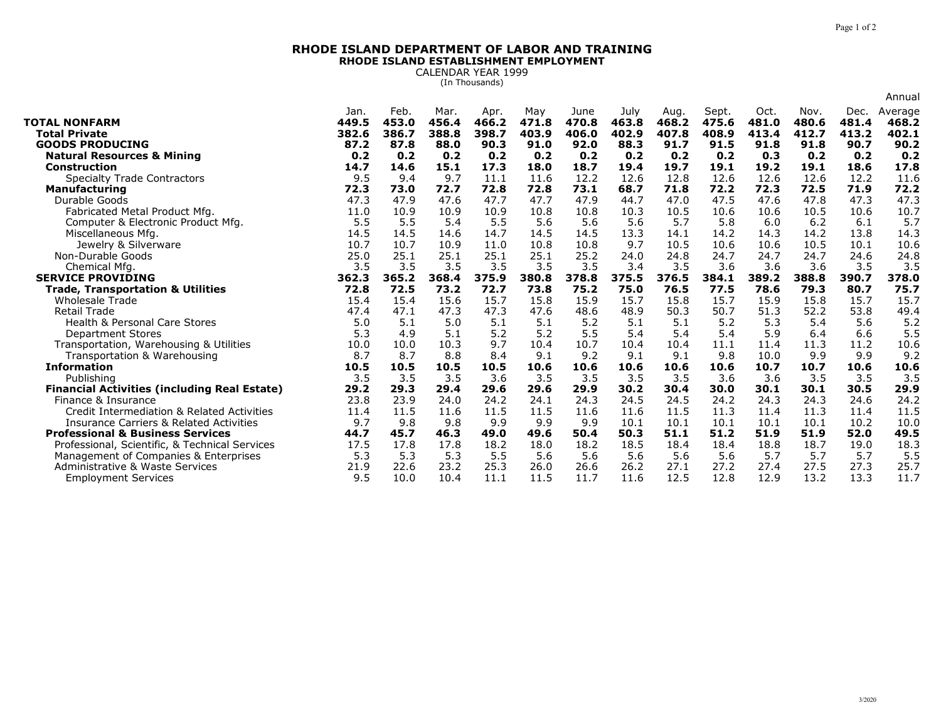## **RHODE ISLAND DEPARTMENT OF LABOR AND TRAININGRHODE ISLAND ESTABLISHMENT EMPLOYMENT**

CALENDAR YEAR 1999 (In Thousands)

|                                                     |       |       |       |       |       |       |       |       |       |       |       |       | Annual  |
|-----------------------------------------------------|-------|-------|-------|-------|-------|-------|-------|-------|-------|-------|-------|-------|---------|
|                                                     | Jan.  | Feb.  | Mar.  | Apr.  | May   | June  | July  | Aug.  | Sept. | Oct.  | Nov.  | Dec.  | Average |
| <b>TOTAL NONFARM</b>                                | 449.5 | 453.0 | 456.4 | 466.2 | 471.8 | 470.8 | 463.8 | 468.2 | 475.6 | 481.0 | 480.6 | 481.4 | 468.2   |
| <b>Total Private</b>                                | 382.6 | 386.7 | 388.8 | 398.7 | 403.9 | 406.0 | 402.9 | 407.8 | 408.9 | 413.4 | 412.7 | 413.2 | 402.1   |
| <b>GOODS PRODUCING</b>                              | 87.2  | 87.8  | 88.0  | 90.3  | 91.0  | 92.0  | 88.3  | 91.7  | 91.5  | 91.8  | 91.8  | 90.7  | 90.2    |
| <b>Natural Resources &amp; Mining</b>               | 0.2   | 0.2   | 0.2   | 0.2   | 0.2   | 0.2   | 0.2   | 0.2   | 0.2   | 0.3   | 0.2   | 0.2   | 0.2     |
| <b>Construction</b>                                 | 14.7  | 14.6  | 15.1  | 17.3  | 18.0  | 18.7  | 19.4  | 19.7  | 19.1  | 19.2  | 19.1  | 18.6  | 17.8    |
| <b>Specialty Trade Contractors</b>                  | 9.5   | 9.4   | 9.7   | 11.1  | 11.6  | 12.2  | 12.6  | 12.8  | 12.6  | 12.6  | 12.6  | 12.2  | 11.6    |
| Manufacturing                                       | 72.3  | 73.0  | 72.7  | 72.8  | 72.8  | 73.1  | 68.7  | 71.8  | 72.2  | 72.3  | 72.5  | 71.9  | 72.2    |
| Durable Goods                                       | 47.3  | 47.9  | 47.6  | 47.7  | 47.7  | 47.9  | 44.7  | 47.0  | 47.5  | 47.6  | 47.8  | 47.3  | 47.3    |
| Fabricated Metal Product Mfg.                       | 11.0  | 10.9  | 10.9  | 10.9  | 10.8  | 10.8  | 10.3  | 10.5  | 10.6  | 10.6  | 10.5  | 10.6  | 10.7    |
| Computer & Electronic Product Mfg.                  | 5.5   | 5.5   | 5.4   | 5.5   | 5.6   | 5.6   | 5.6   | 5.7   | 5.8   | 6.0   | 6.2   | 6.1   | 5.7     |
| Miscellaneous Mfg.                                  | 14.5  | 14.5  | 14.6  | 14.7  | 14.5  | 14.5  | 13.3  | 14.1  | 14.2  | 14.3  | 14.2  | 13.8  | 14.3    |
| Jewelry & Silverware                                | 10.7  | 10.7  | 10.9  | 11.0  | 10.8  | 10.8  | 9.7   | 10.5  | 10.6  | 10.6  | 10.5  | 10.1  | 10.6    |
| Non-Durable Goods                                   | 25.0  | 25.1  | 25.1  | 25.1  | 25.1  | 25.2  | 24.0  | 24.8  | 24.7  | 24.7  | 24.7  | 24.6  | 24.8    |
| Chemical Mfg                                        | 3.5   | 3.5   | 3.5   | 3.5   | 3.5   | 3.5   | 3.4   | 3.5   | 3.6   | 3.6   | 3.6   | 3.5   | 3.5     |
| <b>SERVICE PROVIDING</b>                            | 362.3 | 365.2 | 368.4 | 375.9 | 380.8 | 378.8 | 375.5 | 376.5 | 384.1 | 389.2 | 388.8 | 390.7 | 378.0   |
| <b>Trade, Transportation &amp; Utilities</b>        | 72.8  | 72.5  | 73.2  | 72.7  | 73.8  | 75.2  | 75.0  | 76.5  | 77.5  | 78.6  | 79.3  | 80.7  | 75.7    |
| <b>Wholesale Trade</b>                              | 15.4  | 15.4  | 15.6  | 15.7  | 15.8  | 15.9  | 15.7  | 15.8  | 15.7  | 15.9  | 15.8  | 15.7  | 15.7    |
| <b>Retail Trade</b>                                 | 47.4  | 47.1  | 47.3  | 47.3  | 47.6  | 48.6  | 48.9  | 50.3  | 50.7  | 51.3  | 52.2  | 53.8  | 49.4    |
| <b>Health &amp; Personal Care Stores</b>            | 5.0   | 5.1   | 5.0   | 5.1   | 5.1   | 5.2   | 5.1   | 5.1   | 5.2   | 5.3   | 5.4   | 5.6   | 5.2     |
| <b>Department Stores</b>                            | 5.3   | 4.9   | 5.1   | 5.2   | 5.2   | 5.5   | 5.4   | 5.4   | 5.4   | 5.9   | 6.4   | 6.6   | 5.5     |
| Transportation, Warehousing & Utilities             | 10.0  | 10.0  | 10.3  | 9.7   | 10.4  | 10.7  | 10.4  | 10.4  | 11.1  | 11.4  | 11.3  | 11.2  | 10.6    |
| Transportation & Warehousing                        | 8.7   | 8.7   | 8.8   | 8.4   | 9.1   | 9.2   | 9.1   | 9.1   | 9.8   | 10.0  | 9.9   | 9.9   | 9.2     |
| <b>Information</b>                                  | 10.5  | 10.5  | 10.5  | 10.5  | 10.6  | 10.6  | 10.6  | 10.6  | 10.6  | 10.7  | 10.7  | 10.6  | 10.6    |
| Publishing                                          | 3.5   | 3.5   | 3.5   | 3.6   | 3.5   | 3.5   | 3.5   | 3.5   | 3.6   | 3.6   | 3.5   | 3.5   | 3.5     |
| <b>Financial Activities (including Real Estate)</b> | 29.2  | 29.3  | 29.4  | 29.6  | 29.6  | 29.9  | 30.2  | 30.4  | 30.0  | 30.1  | 30.1  | 30.5  | 29.9    |
| Finance & Insurance                                 | 23.8  | 23.9  | 24.0  | 24.2  | 24.1  | 24.3  | 24.5  | 24.5  | 24.2  | 24.3  | 24.3  | 24.6  | 24.2    |
| Credit Intermediation & Related Activities          | 11.4  | 11.5  | 11.6  | 11.5  | 11.5  | 11.6  | 11.6  | 11.5  | 11.3  | 11.4  | 11.3  | 11.4  | 11.5    |
| <b>Insurance Carriers &amp; Related Activities</b>  | 9.7   | 9.8   | 9.8   | 9.9   | 9.9   | 9.9   | 10.1  | 10.1  | 10.1  | 10.1  | 10.1  | 10.2  | 10.0    |
| <b>Professional &amp; Business Services</b>         | 44.7  | 45.7  | 46.3  | 49.0  | 49.6  | 50.4  | 50.3  | 51.1  | 51.2  | 51.9  | 51.9  | 52.0  | 49.5    |
| Professional, Scientific, & Technical Services      | 17.5  | 17.8  | 17.8  | 18.2  | 18.0  | 18.2  | 18.5  | 18.4  | 18.4  | 18.8  | 18.7  | 19.0  | 18.3    |
| Management of Companies & Enterprises               | 5.3   | 5.3   | 5.3   | 5.5   | 5.6   | 5.6   | 5.6   | 5.6   | 5.6   | 5.7   | 5.7   | 5.7   | 5.5     |
| Administrative & Waste Services                     | 21.9  | 22.6  | 23.2  | 25.3  | 26.0  | 26.6  | 26.2  | 27.1  | 27.2  | 27.4  | 27.5  | 27.3  | 25.7    |
| <b>Employment Services</b>                          | 9.5   | 10.0  | 10.4  | 11.1  | 11.5  | 11.7  | 11.6  | 12.5  | 12.8  | 12.9  | 13.2  | 13.3  | 11.7    |